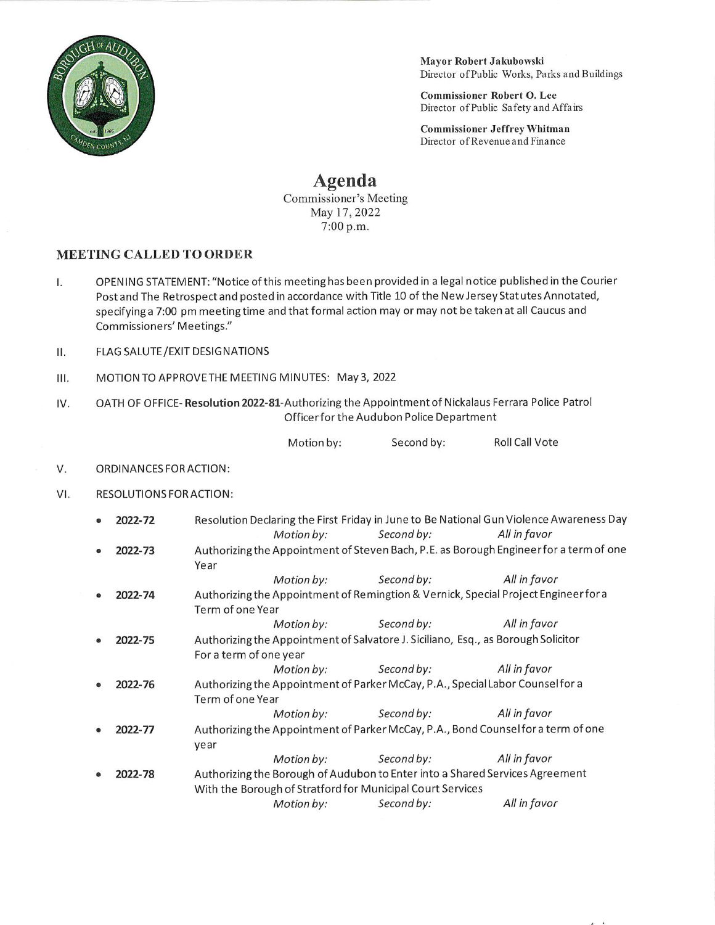

Mayor Robert Jakubowski Director of Public Works, Parks and Buildings

 $\overline{1}$ 

Commissioner Robert O. Lee Director of Public Safety and Affairs

Commissioner Jeffrey Whitman Director of Revenue and Finance

## Agenda

Commissioner's Meeting May 17, 2022 7:00 p.m.

## MEETING CALLED TO ORDER

- I. OPENING STATEMENT: "Notice ofthis meetinghas been provided in a legal notice published in the Courier Post and The Retrospect and posted in accordance with Title 10 of the New Jersey Stat utes Annotated, specifying a 7:00 pm meeting time and that formal action may or may not be taken at all Caucus and Commissioners" Meetings."
- II. FLAGSALUTE/EXIT DESIGNATIONS
- III. MOTION TO APPROVE THE MEETING MINUTES: May 3, 2022
- IV. OATH OF OFFICE- Resolution 2022-81-Authorizing the Appointment of Nickalaus Ferrara Police Patrol Officerfor the Audubon Police Department

Motion by: Second by: Roll Call Vote

## V. ORDINANCES FOR ACTION:

Vl. RESOLUTIONS FOR ACTION:

|  | 2022-72                                                                                     |                                                                                        |                                                                              |                       | Resolution Declaring the First Friday in June to Be National Gun Violence Awareness Day |  |  |
|--|---------------------------------------------------------------------------------------------|----------------------------------------------------------------------------------------|------------------------------------------------------------------------------|-----------------------|-----------------------------------------------------------------------------------------|--|--|
|  |                                                                                             |                                                                                        | Motion by:                                                                   | Second by:            | All in favor                                                                            |  |  |
|  | 2022-73                                                                                     | Authorizing the Appointment of Steven Bach, P.E. as Borough Engineer for a term of one |                                                                              |                       |                                                                                         |  |  |
|  |                                                                                             | Year                                                                                   |                                                                              |                       |                                                                                         |  |  |
|  |                                                                                             |                                                                                        | Motion by:                                                                   | Second by:            | All in favor                                                                            |  |  |
|  | 2022-74                                                                                     | Authorizing the Appointment of Remingtion & Vernick, Special Project Engineer for a    |                                                                              |                       |                                                                                         |  |  |
|  |                                                                                             | Term of one Year                                                                       |                                                                              |                       |                                                                                         |  |  |
|  |                                                                                             |                                                                                        | Motion by:                                                                   | Second by:            | All in favor                                                                            |  |  |
|  | 2022-75                                                                                     | Authorizing the Appointment of Salvatore J. Siciliano, Esq., as Borough Solicitor      |                                                                              |                       |                                                                                         |  |  |
|  |                                                                                             | For a term of one year                                                                 |                                                                              |                       |                                                                                         |  |  |
|  |                                                                                             |                                                                                        |                                                                              |                       |                                                                                         |  |  |
|  |                                                                                             |                                                                                        | Motion by:                                                                   | Second by:            | All in favor                                                                            |  |  |
|  | 2022-76                                                                                     | Authorizing the Appointment of Parker McCay, P.A., Special Labor Counsel for a         |                                                                              |                       |                                                                                         |  |  |
|  |                                                                                             | Term of one Year                                                                       |                                                                              |                       |                                                                                         |  |  |
|  |                                                                                             |                                                                                        | Motion by:                                                                   | Second by:            | All in favor                                                                            |  |  |
|  | Authorizing the Appointment of Parker McCay, P.A., Bond Counselfor a term of one<br>2022-77 |                                                                                        |                                                                              |                       |                                                                                         |  |  |
|  |                                                                                             | year                                                                                   |                                                                              |                       |                                                                                         |  |  |
|  |                                                                                             |                                                                                        |                                                                              | Motion by: Second by: | All in favor                                                                            |  |  |
|  | 2022-78                                                                                     |                                                                                        | Authorizing the Borough of Audubon to Enter into a Shared Services Agreement |                       |                                                                                         |  |  |
|  |                                                                                             | With the Borough of Stratford for Municipal Court Services                             |                                                                              |                       |                                                                                         |  |  |
|  |                                                                                             |                                                                                        |                                                                              |                       |                                                                                         |  |  |
|  |                                                                                             |                                                                                        | Motion by:                                                                   | Second by:            | All in favor                                                                            |  |  |
|  |                                                                                             |                                                                                        |                                                                              |                       |                                                                                         |  |  |